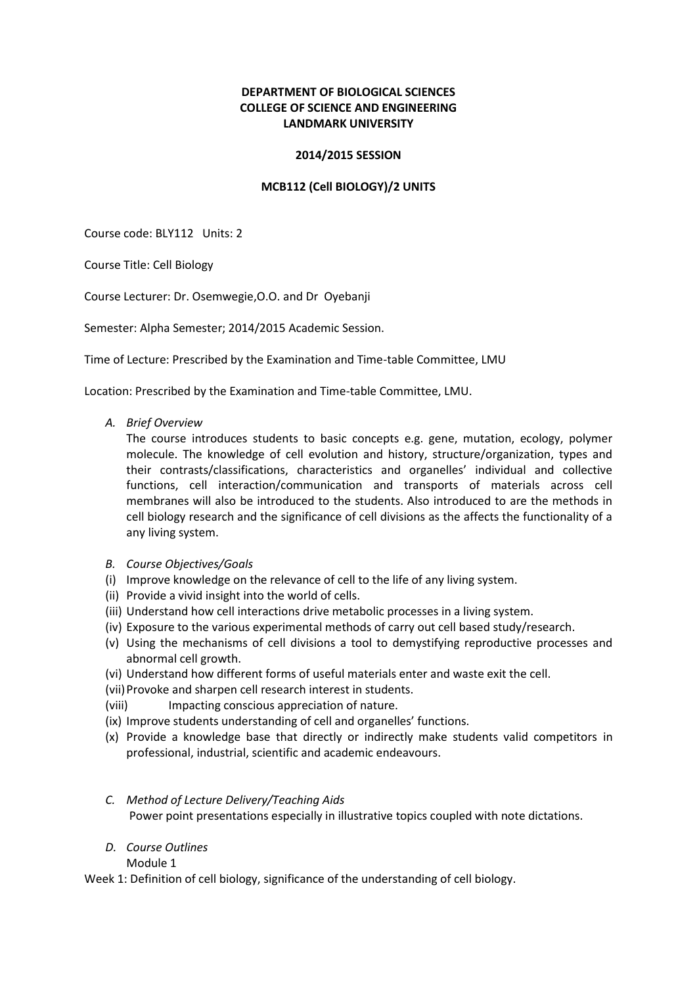## **DEPARTMENT OF BIOLOGICAL SCIENCES COLLEGE OF SCIENCE AND ENGINEERING LANDMARK UNIVERSITY**

### **2014/2015 SESSION**

### **MCB112 (Cell BIOLOGY)/2 UNITS**

Course code: BLY112 Units: 2

Course Title: Cell Biology

Course Lecturer: Dr. Osemwegie,O.O. and Dr Oyebanji

Semester: Alpha Semester; 2014/2015 Academic Session.

Time of Lecture: Prescribed by the Examination and Time-table Committee, LMU

Location: Prescribed by the Examination and Time-table Committee, LMU.

*A. Brief Overview*

The course introduces students to basic concepts e.g. gene, mutation, ecology, polymer molecule. The knowledge of cell evolution and history, structure/organization, types and their contrasts/classifications, characteristics and organelles' individual and collective functions, cell interaction/communication and transports of materials across cell membranes will also be introduced to the students. Also introduced to are the methods in cell biology research and the significance of cell divisions as the affects the functionality of a any living system.

- *B. Course Objectives/Goals*
- (i) Improve knowledge on the relevance of cell to the life of any living system.
- (ii) Provide a vivid insight into the world of cells.
- (iii) Understand how cell interactions drive metabolic processes in a living system.
- (iv) Exposure to the various experimental methods of carry out cell based study/research.
- (v) Using the mechanisms of cell divisions a tool to demystifying reproductive processes and abnormal cell growth.
- (vi) Understand how different forms of useful materials enter and waste exit the cell.
- (vii) Provoke and sharpen cell research interest in students.
- (viii) Impacting conscious appreciation of nature.
- (ix) Improve students understanding of cell and organelles' functions.
- (x) Provide a knowledge base that directly or indirectly make students valid competitors in professional, industrial, scientific and academic endeavours.

## *C. Method of Lecture Delivery/Teaching Aids* Power point presentations especially in illustrative topics coupled with note dictations.

*D. Course Outlines*

Module 1

Week 1: Definition of cell biology, significance of the understanding of cell biology.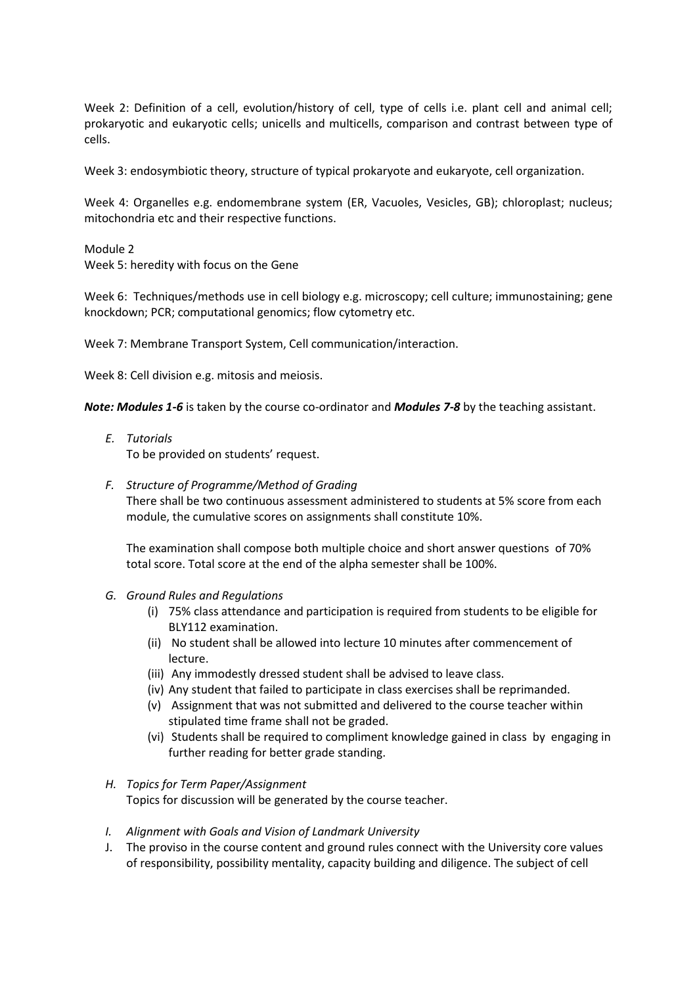Week 2: Definition of a cell, evolution/history of cell, type of cells i.e. plant cell and animal cell; prokaryotic and eukaryotic cells; unicells and multicells, comparison and contrast between type of cells.

Week 3: endosymbiotic theory, structure of typical prokaryote and eukaryote, cell organization.

Week 4: Organelles e.g. endomembrane system (ER, Vacuoles, Vesicles, GB); chloroplast; nucleus; mitochondria etc and their respective functions.

Module 2 Week 5: heredity with focus on the Gene

Week 6: Techniques/methods use in cell biology e.g. microscopy; cell culture; immunostaining; gene knockdown; PCR; computational genomics; flow cytometry etc.

Week 7: Membrane Transport System, Cell communication/interaction.

Week 8: Cell division e.g. mitosis and meiosis.

*Note: Modules 1-6* is taken by the course co-ordinator and *Modules 7-8* by the teaching assistant.

*E. Tutorials*

To be provided on students' request.

#### *F. Structure of Programme/Method of Grading*

There shall be two continuous assessment administered to students at 5% score from each module, the cumulative scores on assignments shall constitute 10%.

The examination shall compose both multiple choice and short answer questions of 70% total score. Total score at the end of the alpha semester shall be 100%.

#### *G. Ground Rules and Regulations*

- (i) 75% class attendance and participation is required from students to be eligible for BLY112 examination.
- (ii) No student shall be allowed into lecture 10 minutes after commencement of lecture.
- (iii) Any immodestly dressed student shall be advised to leave class.
- (iv) Any student that failed to participate in class exercises shall be reprimanded.
- (v) Assignment that was not submitted and delivered to the course teacher within stipulated time frame shall not be graded.
- (vi) Students shall be required to compliment knowledge gained in class by engaging in further reading for better grade standing.

#### *H. Topics for Term Paper/Assignment*

Topics for discussion will be generated by the course teacher.

- *I. Alignment with Goals and Vision of Landmark University*
- J. The proviso in the course content and ground rules connect with the University core values of responsibility, possibility mentality, capacity building and diligence. The subject of cell